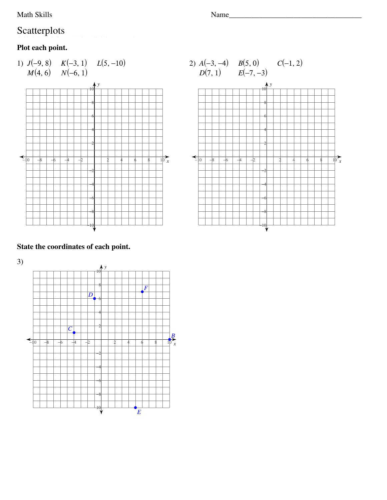Math Skills

# Scatterplots

# Plot each point.





### State the coordinates of each point.



Name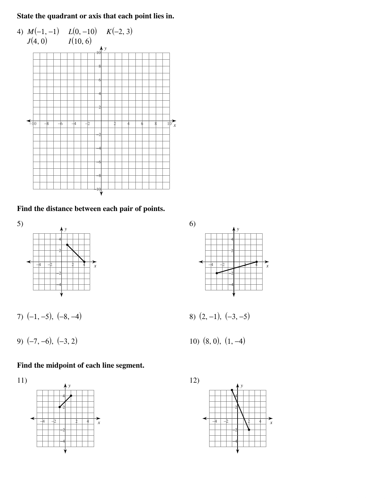**State the quadrant or axis that each point lies in.**



**Find the distance between each pair of points.**



7)  $(-1, -5)$ ,  $(-8, -4)$  8)  $(2, -1)$ ,  $(-3, -5)$ 

9) (−7, −6), (−3, 2) 10) (8, 0), (1, −4)

#### **Find the midpoint of each line segment.**





$$
3) (2,-1), (-3,-5)
$$